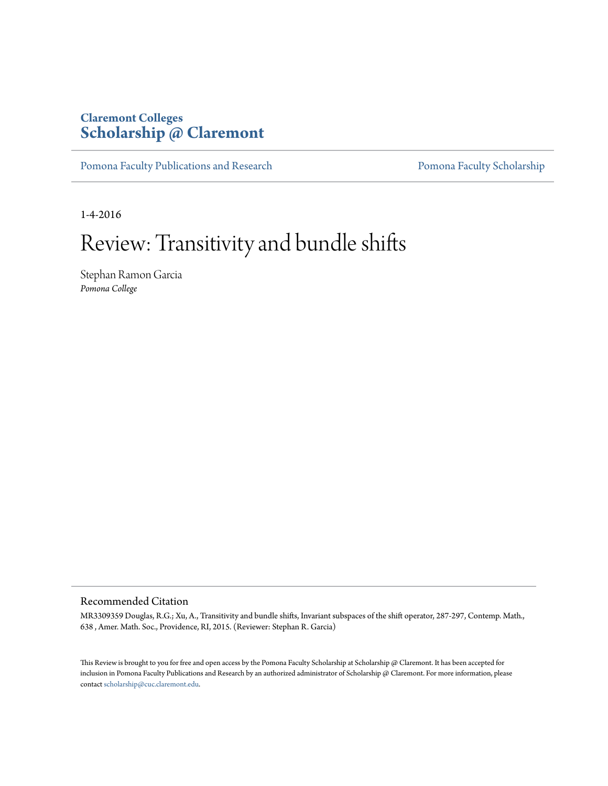## **Claremont Colleges [Scholarship @ Claremont](http://scholarship.claremont.edu)**

[Pomona Faculty Publications and Research](http://scholarship.claremont.edu/pomona_fac_pub) [Pomona Faculty Scholarship](http://scholarship.claremont.edu/pomona_faculty)

1-4-2016

# Review: Transitivity and bundle shifts

Stephan Ramon Garcia *Pomona College*

#### Recommended Citation

MR3309359 Douglas, R.G.; Xu, A., Transitivity and bundle shifts, Invariant subspaces of the shift operator, 287-297, Contemp. Math., 638 , Amer. Math. Soc., Providence, RI, 2015. (Reviewer: Stephan R. Garcia)

This Review is brought to you for free and open access by the Pomona Faculty Scholarship at Scholarship @ Claremont. It has been accepted for inclusion in Pomona Faculty Publications and Research by an authorized administrator of Scholarship @ Claremont. For more information, please contact [scholarship@cuc.claremont.edu](mailto:scholarship@cuc.claremont.edu).